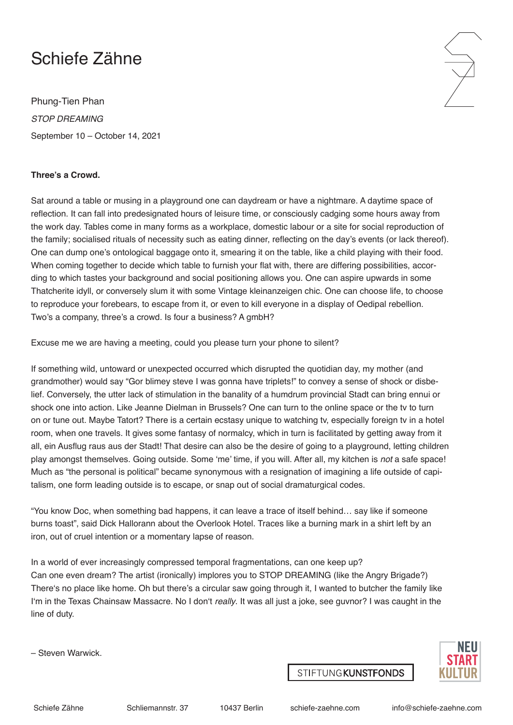## Schiefe Zähne

Phung-Tien Phan *STOP DREAMING* September 10 – October 14, 2021

## **Three's a Crowd.**

Sat around a table or musing in a playground one can daydream or have a nightmare. A daytime space of reflection. It can fall into predesignated hours of leisure time, or consciously cadging some hours away from the work day. Tables come in many forms as a workplace, domestic labour or a site for social reproduction of the family; socialised rituals of necessity such as eating dinner, reflecting on the day's events (or lack thereof). One can dump one's ontological baggage onto it, smearing it on the table, like a child playing with their food. When coming together to decide which table to furnish your flat with, there are differing possibilities, according to which tastes your background and social positioning allows you. One can aspire upwards in some Thatcherite idyll, or conversely slum it with some Vintage kleinanzeigen chic. One can choose life, to choose to reproduce your forebears, to escape from it, or even to kill everyone in a display of Oedipal rebellion. Two's a company, three's a crowd. Is four a business? A gmbH?

Excuse me we are having a meeting, could you please turn your phone to silent?

If something wild, untoward or unexpected occurred which disrupted the quotidian day, my mother (and grandmother) would say "Gor blimey steve I was gonna have triplets!" to convey a sense of shock or disbelief. Conversely, the utter lack of stimulation in the banality of a humdrum provincial Stadt can bring ennui or shock one into action. Like Jeanne Dielman in Brussels? One can turn to the online space or the tv to turn on or tune out. Maybe Tatort? There is a certain ecstasy unique to watching tv, especially foreign tv in a hotel room, when one travels. It gives some fantasy of normalcy, which in turn is facilitated by getting away from it all, ein Ausflug raus aus der Stadt! That desire can also be the desire of going to a playground, letting children play amongst themselves. Going outside. Some 'me' time, if you will. After all, my kitchen is *not* a safe space! Much as "the personal is political" became synonymous with a resignation of imagining a life outside of capitalism, one form leading outside is to escape, or snap out of social dramaturgical codes.

"You know Doc, when something bad happens, it can leave a trace of itself behind… say like if someone burns toast", said Dick Hallorann about the Overlook Hotel. Traces like a burning mark in a shirt left by an iron, out of cruel intention or a momentary lapse of reason.

In a world of ever increasingly compressed temporal fragmentations, can one keep up? Can one even dream? The artist (ironically) implores you to STOP DREAMING (like the Angry Brigade?) There's no place like home. Oh but there's a circular saw going through it, I wanted to butcher the family like I'm in the Texas Chainsaw Massacre. No I don't *really*. It was all just a joke, see guvnor? I was caught in the line of duty.

– Steven Warwick.



**STIFTUNGKUNSTFONDS**